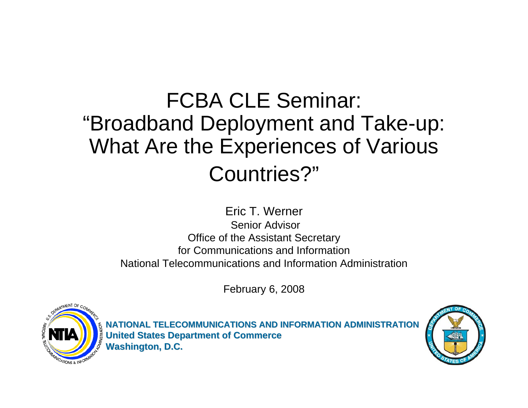## FCBA CLE Seminar: "Broadband Deployment and Take-up: What Are the Experiences of Various Countries?"

Eric T. WernerSenior AdvisorOffice of the Assistant Secretary for Communications and InformationNational Telecommunications and Information Administration

February 6, 2008



**NATIONAL TELECOMMUNICATIONS AND INFORMATION ADMINISTRATION United States Department of Commerce Washington, D.C. Washington, D.C.**

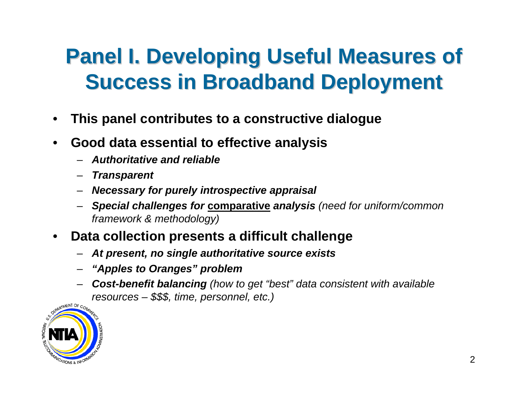- •**This panel contributes to a constructive dialogue**
- • **Good data essential to effective analysis**
	- *Authoritative and reliable*
	- *Transparent*
	- *Necessary for purely introspective appraisal*
	- – *Special challenges for* **comparative** *analysis (need for uniform/common framework & methodology)*
- • **Data collection presents a difficult challenge**
	- *At present, no single authoritative source exists*
	- *"Apples to Oranges" problem*
	- *Cost-benefit balancing (how to get "best" data consistent with available* 
		- *resources – \$\$\$, time, personnel, etc.)*

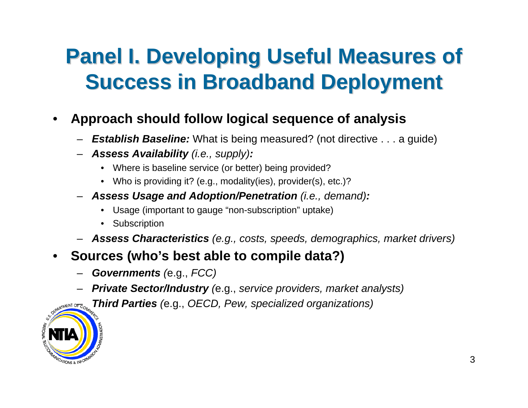- • **Approach should follow logical sequence of analysis**
	- *Establish Baseline:* What is being measured? (not directive . . . a guide)
	- *Assess Availability (i.e., supply):*
		- Where is baseline service (or better) being provided?
		- Who is providing it? (e.g., modality(ies), provider(s), etc.)?
	- *Assess Usage and Adoption/Penetration (i.e., demand):*
		- Usage (important to gauge "non-subscription" uptake)
		- Subscription
	- *Assess Characteristics (e.g., costs, speeds, demographics, market drivers)*
- • **Sources (who's best able to compile data?)**
	- *Governments (*e.g., *FCC)*
	- *Private Sector/Industry (*e.g., *service providers, market analysts)*
	- *Third Parties (*e.g., *OECD, Pew, specialized organizations)*

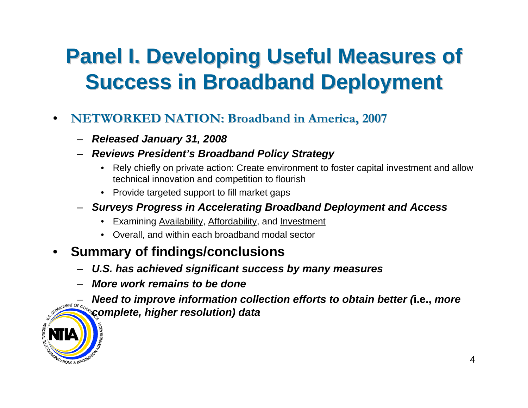- •**NETWORKED NATION: Broadband in America, 2007** 
	- *Released January 31, 2008*
	- *Reviews President's Broadband Policy Strategy* 
		- $\bullet$  Rely chiefly on private action: Create environment to foster capital investment and allow technical innovation and competition to flourish
		- Provide targeted support to fill market gaps
	- *Surveys Progress in Accelerating Broadband Deployment and Access*
		- Examining Availability, Affordability, and Investment
		- Overall, and within each broadband modal sector
- • **Summary of findings/conclusions**
	- *U.S. has achieved significant success by many measures*
	- *More work remains to be done*

CATIONS & INFOR

 *Need to improve information collection efforts to obtain better (***i.e.,** *more complete, higher resolution) data data*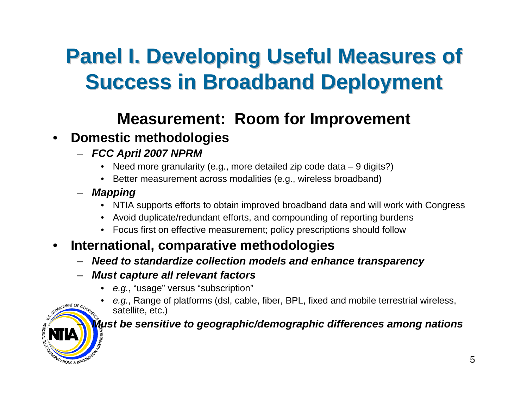### **Measurement: Room for Improvement**

- $\bullet$  **Domestic methodologies**
	- *FCC April 2007 NPRM*
		- Need more granularity (e.g., more detailed zip code data 9 digits?)
		- •Better measurement across modalities (e.g., wireless broadband)
	- *Mapping*
		- NTIA supports efforts to obtain improved broadband data and will work with Congress
		- Avoid duplicate/redundant efforts, and compounding of reporting burdens
		- Focus first on effective measurement; policy prescriptions should follow

#### $\bullet$ **International, comparative methodologies**

- *Need to standardize collection models and enhance transparency*
- *Must capture all relevant factors*
	- •*e.g.*, "usage" versus "subscription"
	- • *e.g.*, Range of platforms (dsl, cable, fiber, BPL, fixed and mobile terrestrial wireless, satellite, etc.)

### *Must be sensitive to geographic/demographic differences among nations*

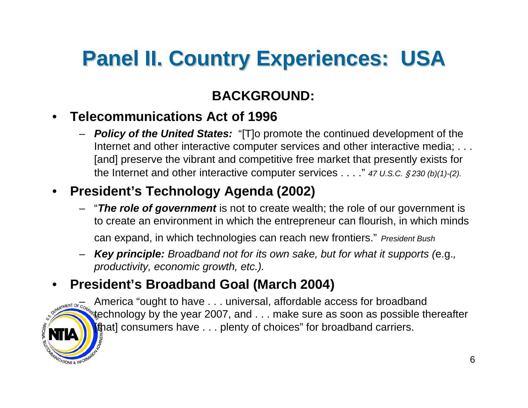### **BACKGROUND:**

#### •**Telecommunications Act of 1996**

**Policy of the United States:** "[T]o promote the continued development of the Internet and other interactive computer services and other interactive media; ... [and] preserve the vibrant and competitive free market that presently exists for the Internet and other interactive computer services . . . ." *47 U.S.C.*  § *230 (b)(1)-(2).*

#### $\bullet$ **President's Technology Agenda (2002)**

- "*The role of government* is not to create wealth; the role of our government is to create an environment in which the entrepreneur can flourish, in which minds can expand, in which technologies can reach new frontiers." *President Bush*
- – *Key principle: Broadband not for its own sake, but for what it supports (*e.g.*, productivity, economic growth, etc.).*

#### •**President's Broadband Goal (March 2004)**

**WCATIONS & INFOR** 

OFPARTMENT OF CO America "ought to have . . . universal, affordable access for broadband technology by the year 2007, and . . . make sure as soon as possible thereafter [that] consumers have . . . plenty of choices" for broadband carriers.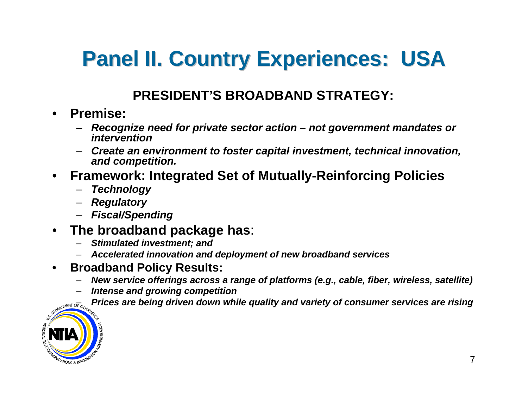### **PRESIDENT'S BROADBAND STRATEGY:**

#### $\bullet$ **Premise:**

- *Recognize need for private sector action – not government mandates or intervention*
- *Create an environment to foster capital investment, technical innovation, and competition.*
- $\bullet$  **Framework: Integrated Set of Mutually-Reinforcing Policies**
	- *Technology*
	- *Regulatory*
	- *Fiscal/Spending*

#### $\bullet$ **The broadband package has**:

- *Stimulated investment; and*
- *Accelerated innovation and deployment of new broadband services*
- $\bullet$  **Broadband Policy Results:**
	- –*New service offerings across a range of platforms (e.g., cable, fiber, wireless, satellite)*
	- – *Intense and growing competition*
		- *Prices are being driven down while quality and variety of consumer services are rising*

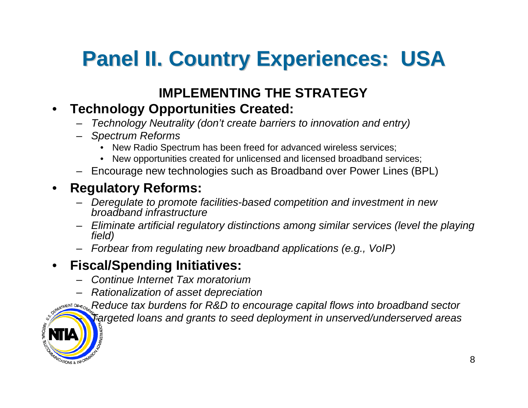### **IMPLEMENTING THE STRATEGY**

#### $\bullet$ **Technology Opportunities Created:**

- *Technology Neutrality (don't create barriers to innovation and entry)*
- *Spectrum Reforms*
	- New Radio Spectrum has been freed for advanced wireless services;
	- New opportunities created for unlicensed and licensed broadband services;
- Encourage new technologies such as Broadband over Power Lines (BPL)

#### $\bullet$ **Regulatory Reforms:**

–

**VCATIONS & INFOR** 

- *Deregulate to promote facilities-based competition and investment in new broadband infrastructure*
- *Eliminate artificial regulatory distinctions among similar services (level the playing field)*
- *Forbear from regulating new broadband applications (e.g., VoIP)*

#### $\bullet$ **Fiscal/Spending Initiatives:**

- *Continue Internet Tax moratorium*
- *Rationalization of asset depreciation*

– *Reduce tax burdens for R&D to encourage capital flows into broadband sector Targeted loans and grants to seed deployment in unserved/underserved areas*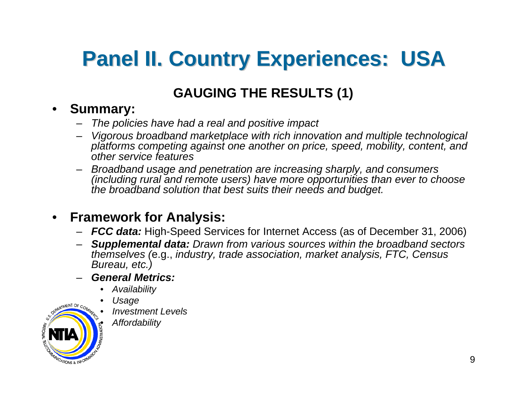### **GAUGING THE RESULTS (1)**

#### $\bullet$ **Summary:**

- *The policies have had a real and positive impact*
- *Vigorous broadband marketplace with rich innovation and multiple technological platforms competing against one another on price, speed, mobility, content, and other service features*
- *Broadband usage and penetration are increasing sharply, and consumers (including rural and remote users) have more opportunities than ever to choose the broadband solution that best suits their needs and budget.*

#### $\bullet$ **Framework for Analysis:**

- *FCC data:* High-Speed Services for Internet Access (as of December 31, 2006)
- *Supplemental data: Drawn from various sources within the broadband sectors themselves (*e.g., *industry, trade association, market analysis, FTC, Census Bureau, etc.)*
- *General Metrics:*
	- •*Availability*
	- • *Usage*
		- *Investment Levels*
	- *Affordability*

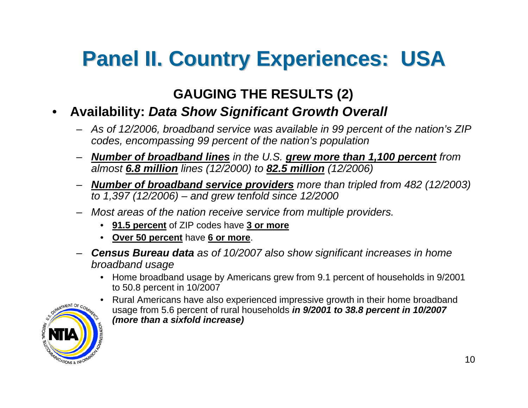### **GAUGING THE RESULTS (2)**

#### •**Availability:** *Data Show Significant Growth Overall*

- *As of 12/2006, broadband service was available in 99 percent of the nation's ZIP codes, encompassing 99 percent of the nation's population*
- *Number of broadband lines in the U.S. grew more than 1,100 percent from almost 6.8 million lines (12/2000) to 82.5 million (12/2006)*
- *Number of broadband service providers more than tripled from 482 (12/2003) to 1,397 (12/2006) – and grew tenfold since 12/2000*
- *Most areas of the nation receive service from multiple providers.*
	- **91.5 percent** of ZIP codes have **3 or more**
	- **Over 50 percent** have **6 or more**.
- *Census Bureau data as of 10/2007 also show significant increases in home broadband usage*
	- Home broadband usage by Americans grew from 9.1 percent of households in 9/2001 to 50.8 percent in 10/2007



• Rural Americans have also experienced impressive growth in their home broadband usage from 5.6 percent of rural households *in 9/2001 to 38.8 percent in 10/2007 (more than a sixfold increase)*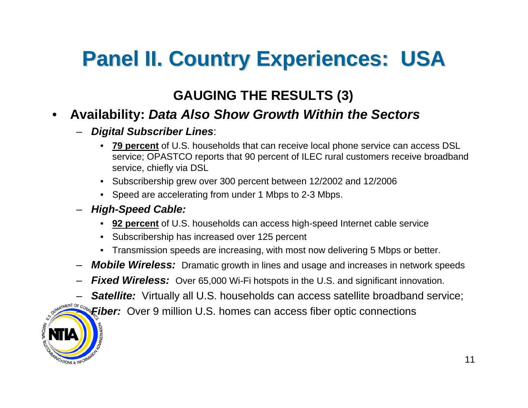### **GAUGING THE RESULTS (3)**

#### •**Availability:** *Data Also Show Growth Within the Sectors*

### *Digital Subscriber Lines*:

- • **79 percent** of U.S. households that can receive local phone service can access DSL service; OPASTCO reports that 90 percent of ILEC rural customers receive broadband service, chiefly via DSL
- Subscribership grew over 300 percent between 12/2002 and 12/2006
- Speed are accelerating from under 1 Mbps to 2-3 Mbps.

### – *High-Speed Cable:*

**VICATIONS & INFORT** 

- **92 percent** of U.S. households can access high-speed Internet cable service
- Subscribership has increased over 125 percent
- Transmission speeds are increasing, with most now delivering 5 Mbps or better.
- *Mobile Wireless:* Dramatic growth in lines and usage and increases in network speeds
- *Fixed Wireless:* Over 65,000 Wi-Fi hotspots in the U.S. and significant innovation.
- **Satellite:** Virtually all U.S. households can access satellite broadband service;

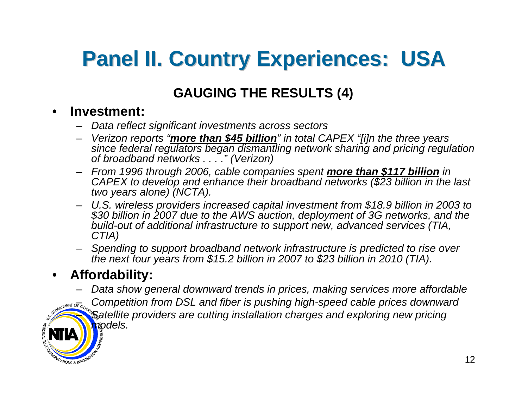### **GAUGING THE RESULTS (4)**

#### •**Investment:**

- *Data reflect significant investments across sectors*
- *Verizon reports "more than \$45 billion" in total CAPEX "[i]n the three years since federal regulators began dismantling network sharing and pricing regulation of broadband networks . . . ." (Verizon)*
- *From 1996 through 2006, cable companies spent more than \$117 billion in CAPEX to develop and enhance their broadband networks (\$23 billion in the last two years alone) (NCTA).*
- U.S. wireless providers increased capital investment from \$18.9 billion in 2003 to  $$30$  billion in 2007 due to the AWS auction, deployment of 3G networks, and the *build-out of additional infrastructure to support new, advanced services (TIA, CTIA)*
- Spending to support broadband network infrastructure is predicted to rise over *Spending to support broadband network infrastructure is predicted to rise over the next four years from \$15.2 billion in 2007 to \$23 billion in 2010 (TIA).*

#### •**Affordability:**

**VICATIONS & INFORT** 

 *Data show general downward trends in prices, making services more affordable Competition from DSL and fiber is pushing high-speed cable prices downward* **Satellite providers are cutting installation charges and exploring new pricing** *models.*